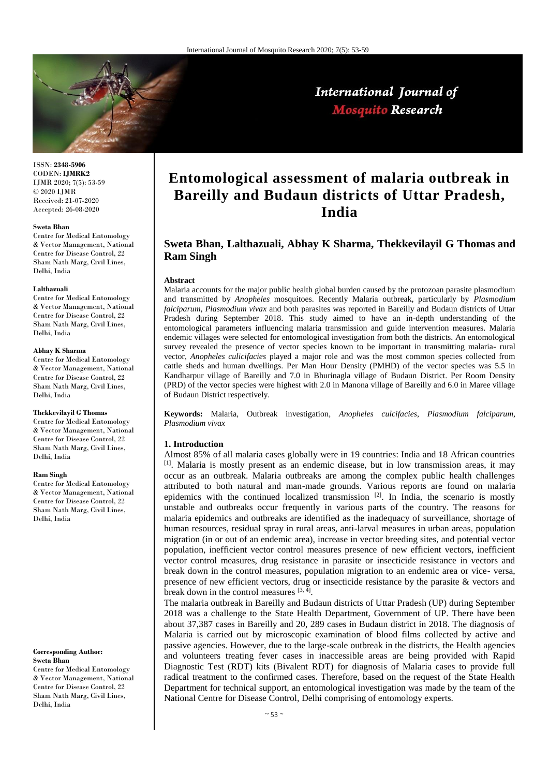

# International Journal of **Mosquito Research**

ISSN: **2348-5906** CODEN: **IJMRK2** IJMR 2020; 7(5): 53-59 © 2020 IJMR Received: 21-07-2020 Accepted: 26-08-2020

#### **Sweta Bhan**

Centre for Medical Entomology & Vector Management, National Centre for Disease Control, 22 Sham Nath Marg, Civil Lines, Delhi, India

#### **Lalthazuali**

Centre for Medical Entomology & Vector Management, National Centre for Disease Control, 22 Sham Nath Marg, Civil Lines, Delhi, India

#### **Abhay K Sharma**

Centre for Medical Entomology & Vector Management, National Centre for Disease Control, 22 Sham Nath Marg, Civil Lines, Delhi, India

## **Thekkevilayil G Thomas**

Centre for Medical Entomology & Vector Management, National Centre for Disease Control, 22 Sham Nath Marg, Civil Lines, Delhi, India

#### **Ram Singh**

Centre for Medical Entomology & Vector Management, National Centre for Disease Control, 22 Sham Nath Marg, Civil Lines, Delhi, India

## **Corresponding Author: Sweta Bhan**

Centre for Medical Entomology & Vector Management, National Centre for Disease Control, 22 Sham Nath Marg, Civil Lines, Delhi, India

# **Entomological assessment of malaria outbreak in Bareilly and Budaun districts of Uttar Pradesh, India**

# **Sweta Bhan, Lalthazuali, Abhay K Sharma, Thekkevilayil G Thomas and Ram Singh**

## **Abstract**

Malaria accounts for the major public health global burden caused by the protozoan parasite plasmodium and transmitted by *Anopheles* mosquitoes. Recently Malaria outbreak, particularly by *Plasmodium falciparum, Plasmodium vivax* and both parasites was reported in Bareilly and Budaun districts of Uttar Pradesh during September 2018. This study aimed to have an in-depth understanding of the entomological parameters influencing malaria transmission and guide intervention measures. Malaria endemic villages were selected for entomological investigation from both the districts. An entomological survey revealed the presence of vector species known to be important in transmitting malaria- rural vector, *Anopheles culicifacies* played a major role and was the most common species collected from cattle sheds and human dwellings. Per Man Hour Density (PMHD) of the vector species was 5.5 in Kandharpur village of Bareilly and 7.0 in Bhurinagla village of Budaun District. Per Room Density (PRD) of the vector species were highest with 2.0 in Manona village of Bareilly and 6.0 in Maree village of Budaun District respectively.

**Keywords:** Malaria, Outbreak investigation, *Anopheles culcifacies*, *Plasmodium falciparum, Plasmodium vivax*

## **1. Introduction**

Almost 85% of all malaria cases globally were in 19 countries: India and 18 African countries [1]. Malaria is mostly present as an endemic disease, but in low transmission areas, it may occur as an outbreak. Malaria outbreaks are among the complex public health challenges attributed to both natural and man-made grounds. Various reports are found on malaria epidemics with the continued localized transmission  $[2]$ . In India, the scenario is mostly unstable and outbreaks occur frequently in various parts of the country. The reasons for malaria epidemics and outbreaks are identified as the inadequacy of surveillance, shortage of human resources, residual spray in rural areas, anti-larval measures in urban areas, population migration (in or out of an endemic area), increase in vector breeding sites, and potential vector population, inefficient vector control measures presence of new efficient vectors, inefficient vector control measures, drug resistance in parasite or insecticide resistance in vectors and break down in the control measures, population migration to an endemic area or vice- versa, presence of new efficient vectors, drug or insecticide resistance by the parasite & vectors and break down in the control measures [3, 4].

The malaria outbreak in Bareilly and Budaun districts of Uttar Pradesh (UP) during September 2018 was a challenge to the State Health Department, Government of UP. There have been about 37,387 cases in Bareilly and 20, 289 cases in Budaun district in 2018. The diagnosis of Malaria is carried out by microscopic examination of blood films collected by active and passive agencies. However, due to the large-scale outbreak in the districts, the Health agencies and volunteers treating fever cases in inaccessible areas are being provided with Rapid Diagnostic Test (RDT) kits (Bivalent RDT) for diagnosis of Malaria cases to provide full radical treatment to the confirmed cases. Therefore, based on the request of the State Health Department for technical support, an entomological investigation was made by the team of the National Centre for Disease Control, Delhi comprising of entomology experts.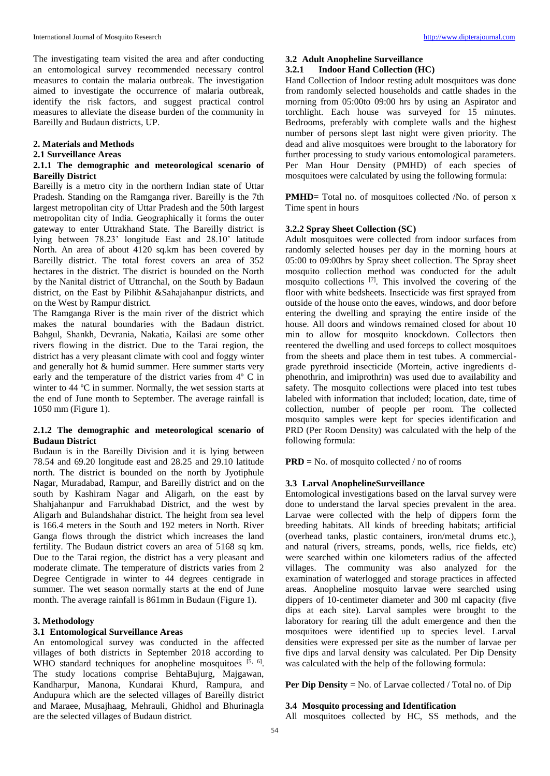The investigating team visited the area and after conducting an entomological survey recommended necessary control measures to contain the malaria outbreak. The investigation aimed to investigate the occurrence of malaria outbreak, identify the risk factors, and suggest practical control measures to alleviate the disease burden of the community in Bareilly and Budaun districts, UP.

## **2. Materials and Methods**

## **2.1 Surveillance Areas**

## **2.1.1 The demographic and meteorological scenario of Bareilly District**

Bareilly is a metro city in the northern Indian state of Uttar Pradesh. Standing on the Ramganga river. Bareilly is the 7th largest metropolitan city of Uttar Pradesh and the 50th largest metropolitan city of India. Geographically it forms the outer gateway to enter Uttrakhand State. The Bareilly district is lying between 78.23' longitude East and 28.10' latitude North. An area of about 4120 sq.km has been covered by Bareilly district. The total forest covers an area of 352 hectares in the district. The district is bounded on the North by the Nanital district of Uttranchal, on the South by Badaun district, on the East by Pilibhit &Sahajahanpur districts, and on the West by Rampur district.

The Ramganga River is the main river of the district which makes the natural boundaries with the Badaun district. Bahgul, Shankh, Devrania, Nakatia, Kailasi are some other rivers flowing in the district. Due to the Tarai region, the district has a very pleasant climate with cool and foggy winter and generally hot & humid summer. Here summer starts very early and the temperature of the district varies from 4º C in winter to 44 °C in summer. Normally, the wet session starts at the end of June month to September. The average rainfall is 1050 mm (Figure 1).

## **2.1.2 The demographic and meteorological scenario of Budaun District**

Budaun is in the Bareilly Division and it is lying between 78.54 and 69.20 longitude east and 28.25 and 29.10 latitude north. The district is bounded on the north by Jyotiphule Nagar, Muradabad, Rampur, and Bareilly district and on the south by Kashiram Nagar and Aligarh, on the east by Shahjahanpur and Farrukhabad District, and the west by Aligarh and Bulandshahar district. The height from sea level is 166.4 meters in the South and 192 meters in North. River Ganga flows through the district which increases the land fertility. The Budaun district covers an area of 5168 sq km. Due to the Tarai region, the district has a very pleasant and moderate climate. The temperature of districts varies from 2 Degree Centigrade in winter to 44 degrees centigrade in summer. The wet season normally starts at the end of June month. The average rainfall is 861mm in Budaun (Figure 1).

## **3. Methodology**

## **3.1 Entomological Surveillance Areas**

An entomological survey was conducted in the affected villages of both districts in September 2018 according to WHO standard techniques for anopheline mosquitoes  $[5, 6]$ . The study locations comprise BehtaBujurg, Majgawan, Kandharpur, Manona, Kundarai Khurd, Rampura, and Andupura which are the selected villages of Bareilly district and Maraee, Musajhaag, Mehrauli, Ghidhol and Bhurinagla are the selected villages of Budaun district.

# **3.2 Adult Anopheline Surveillance**

# **3.2.1 Indoor Hand Collection (HC)**

Hand Collection of Indoor resting adult mosquitoes was done from randomly selected households and cattle shades in the morning from 05:00to 09:00 hrs by using an Aspirator and torchlight. Each house was surveyed for 15 minutes. Bedrooms, preferably with complete walls and the highest number of persons slept last night were given priority. The dead and alive mosquitoes were brought to the laboratory for further processing to study various entomological parameters. Per Man Hour Density (PMHD) of each species of mosquitoes were calculated by using the following formula:

**PMHD**= Total no. of mosquitoes collected /No. of person x Time spent in hours

## **3.2.2 Spray Sheet Collection (SC)**

Adult mosquitoes were collected from indoor surfaces from randomly selected houses per day in the morning hours at 05:00 to 09:00hrs by Spray sheet collection. The Spray sheet mosquito collection method was conducted for the adult mosquito collections [7]. This involved the covering of the floor with white bedsheets. Insecticide was first sprayed from outside of the house onto the eaves, windows, and door before entering the dwelling and spraying the entire inside of the house. All doors and windows remained closed for about 10 min to allow for mosquito knockdown. Collectors then reentered the dwelling and used forceps to collect mosquitoes from the sheets and place them in test tubes. A commercialgrade pyrethroid insecticide (Mortein, active ingredients dphenothrin, and imiprothrin) was used due to availability and safety. The mosquito collections were placed into test tubes labeled with information that included; location, date, time of collection, number of people per room. The collected mosquito samples were kept for species identification and PRD (Per Room Density) was calculated with the help of the following formula:

**PRD =** No. of mosquito collected / no of rooms

## **3.3 Larval AnophelineSurveillance**

Entomological investigations based on the larval survey were done to understand the larval species prevalent in the area. Larvae were collected with the help of dippers form the breeding habitats. All kinds of breeding habitats; artificial (overhead tanks, plastic containers, iron/metal drums etc.), and natural (rivers, streams, ponds, wells, rice fields, etc) were searched within one kilometers radius of the affected villages. The community was also analyzed for the examination of waterlogged and storage practices in affected areas. Anopheline mosquito larvae were searched using dippers of 10-centimeter diameter and 300 ml capacity (five dips at each site). Larval samples were brought to the laboratory for rearing till the adult emergence and then the mosquitoes were identified up to species level. Larval densities were expressed per site as the number of larvae per five dips and larval density was calculated. Per Dip Density was calculated with the help of the following formula:

**Per Dip Density** = No. of Larvae collected / Total no. of Dip

## **3.4 Mosquito processing and Identification**

All mosquitoes collected by HC, SS methods, and the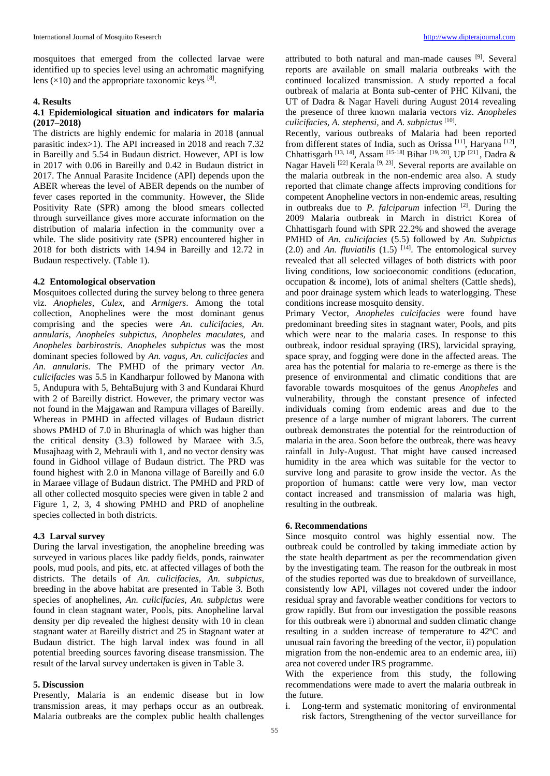mosquitoes that emerged from the collected larvae were identified up to species level using an achromatic magnifying lens  $(\times 10)$  and the appropriate taxonomic keys [8].

## **4. Results**

## **4.1 Epidemiological situation and indicators for malaria (2017–2018)**

The districts are highly endemic for malaria in 2018 (annual parasitic index>1). The API increased in 2018 and reach 7.32 in Bareilly and 5.54 in Budaun district. However, API is low in 2017 with 0.06 in Bareilly and 0.42 in Budaun district in 2017. The Annual Parasite Incidence (API) depends upon the ABER whereas the level of ABER depends on the number of fever cases reported in the community. However, the Slide Positivity Rate (SPR) among the blood smears collected through surveillance gives more accurate information on the distribution of malaria infection in the community over a while. The slide positivity rate (SPR) encountered higher in 2018 for both districts with 14.94 in Bareilly and 12.72 in Budaun respectively. (Table 1).

## **4.2 Entomological observation**

Mosquitoes collected during the survey belong to three genera viz. *Anopheles*, *Culex,* and *Armigers*. Among the total collection, Anophelines were the most dominant genus comprising and the species were *An. culicifacies, An. annularis, Anopheles subpictus, Anopheles maculates,* and *Anopheles barbirostris. Anopheles subpictus* was the most dominant species followed by *An. vagus, An. culicifacies* and *An. annularis*. The PMHD of the primary vector *An. culicifacies* was 5.5 in Kandharpur followed by Manona with 5, Andupura with 5, BehtaBujurg with 3 and Kundarai Khurd with 2 of Bareilly district. However, the primary vector was not found in the Majgawan and Rampura villages of Bareilly. Whereas in PMHD in affected villages of Budaun district shows PMHD of 7.0 in Bhurinagla of which was higher than the critical density (3.3) followed by Maraee with 3.5, Musajhaag with 2, Mehrauli with 1, and no vector density was found in Gidhool village of Budaun district. The PRD was found highest with 2.0 in Manona village of Bareilly and 6.0 in Maraee village of Budaun district. The PMHD and PRD of all other collected mosquito species were given in table 2 and Figure 1, 2, 3, 4 showing PMHD and PRD of anopheline species collected in both districts.

## **4.3 Larval survey**

During the larval investigation, the anopheline breeding was surveyed in various places like paddy fields, ponds, rainwater pools, mud pools, and pits, etc. at affected villages of both the districts. The details of *An. culicifacies, An. subpictus,*  breeding in the above habitat are presented in Table 3. Both species of anophelines, *An. culicifacies, An. subpictus* were found in clean stagnant water, Pools, pits. Anopheline larval density per dip revealed the highest density with 10 in clean stagnant water at Bareilly district and 25 in Stagnant water at Budaun district. The high larval index was found in all potential breeding sources favoring disease transmission. The result of the larval survey undertaken is given in Table 3.

## **5. Discussion**

Presently, Malaria is an endemic disease but in low transmission areas, it may perhaps occur as an outbreak. Malaria outbreaks are the complex public health challenges

attributed to both natural and man-made causes [9]. Several reports are available on small malaria outbreaks with the continued localized transmission. A study reported a focal outbreak of malaria at Bonta sub-center of PHC Kilvani, the UT of Dadra & Nagar Haveli during August 2014 revealing the presence of three known malaria vectors viz. *Anopheles culicifacies, A. stephensi,* and *A. subpictus* [10] .

Recently, various outbreaks of Malaria had been reported from different states of India, such as Orissa<sup>[11]</sup>, Haryana<sup>[12]</sup>, Chhattisgarh [13, 14], Assam [15-18] Bihar [19, 20], UP [21] , Dadra & Nagar Haveli<sup>[22]</sup> Kerala<sup>[9, 23]</sup>. Several reports are available on the malaria outbreak in the non-endemic area also. A study reported that climate change affects improving conditions for competent Anopheline vectors in non-endemic areas, resulting in outbreaks due to *P. falciparum* infection [2]. During the 2009 Malaria outbreak in March in district Korea of Chhattisgarh found with SPR 22.2% and showed the average PMHD of *An. culicifacies* (5.5) followed by *An. Subpictus*   $(2.0)$  and An. fluviatilis  $(1.5)$  <sup>[14]</sup>. The entomological survey revealed that all selected villages of both districts with poor living conditions, low socioeconomic conditions (education, occupation & income), lots of animal shelters (Cattle sheds), and poor drainage system which leads to waterlogging. These conditions increase mosquito density.

Primary Vector, *Anopheles culcifacies* were found have predominant breeding sites in stagnant water, Pools, and pits which were near to the malaria cases. In response to this outbreak, indoor residual spraying (IRS), larvicidal spraying, space spray, and fogging were done in the affected areas. The area has the potential for malaria to re-emerge as there is the presence of environmental and climatic conditions that are favorable towards mosquitoes of the genus *Anopheles* and vulnerability, through the constant presence of infected individuals coming from endemic areas and due to the presence of a large number of migrant laborers. The current outbreak demonstrates the potential for the reintroduction of malaria in the area. Soon before the outbreak, there was heavy rainfall in July-August. That might have caused increased humidity in the area which was suitable for the vector to survive long and parasite to grow inside the vector. As the proportion of humans: cattle were very low, man vector contact increased and transmission of malaria was high, resulting in the outbreak.

## **6. Recommendations**

Since mosquito control was highly essential now. The outbreak could be controlled by taking immediate action by the state health department as per the recommendation given by the investigating team. The reason for the outbreak in most of the studies reported was due to breakdown of surveillance, consistently low API, villages not covered under the indoor residual spray and favorable weather conditions for vectors to grow rapidly. But from our investigation the possible reasons for this outbreak were i) abnormal and sudden climatic change resulting in a sudden increase of temperature to 42ºC and unusual rain favoring the breeding of the vector, ii) population migration from the non-endemic area to an endemic area, iii) area not covered under IRS programme.

With the experience from this study, the following recommendations were made to avert the malaria outbreak in the future.

i. Long-term and systematic monitoring of environmental risk factors, Strengthening of the vector surveillance for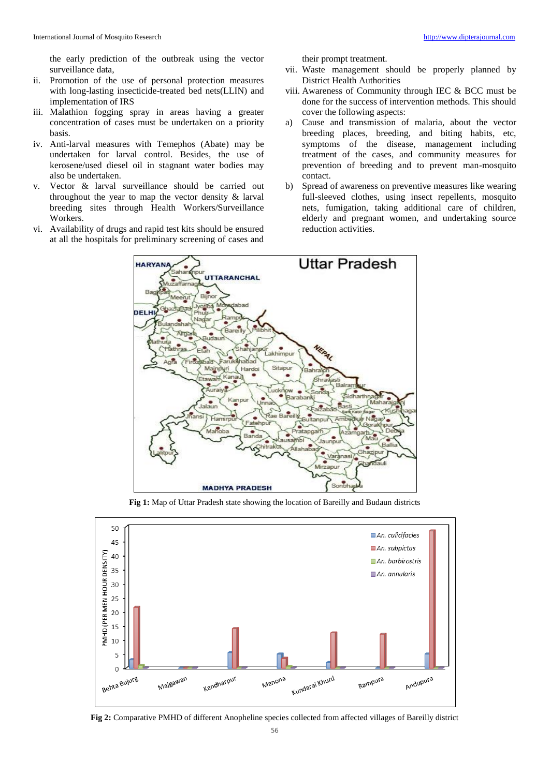the early prediction of the outbreak using the vector surveillance data,

- ii. Promotion of the use of personal protection measures with long-lasting insecticide-treated bed nets(LLIN) and implementation of IRS
- iii. Malathion fogging spray in areas having a greater concentration of cases must be undertaken on a priority basis.
- iv. Anti-larval measures with Temephos (Abate) may be undertaken for larval control. Besides, the use of kerosene/used diesel oil in stagnant water bodies may also be undertaken.
- v. Vector & larval surveillance should be carried out throughout the year to map the vector density & larval breeding sites through Health Workers/Surveillance Workers.
- vi. Availability of drugs and rapid test kits should be ensured at all the hospitals for preliminary screening of cases and

their prompt treatment.

- vii. Waste management should be properly planned by District Health Authorities
- viii. Awareness of Community through IEC & BCC must be done for the success of intervention methods. This should cover the following aspects:
- a) Cause and transmission of malaria, about the vector breeding places, breeding, and biting habits, etc, symptoms of the disease, management including treatment of the cases, and community measures for prevention of breeding and to prevent man-mosquito contact.
- b) Spread of awareness on preventive measures like wearing full-sleeved clothes, using insect repellents, mosquito nets, fumigation, taking additional care of children, elderly and pregnant women, and undertaking source reduction activities.



**Fig 1:** Map of Uttar Pradesh state showing the location of Bareilly and Budaun districts



**Fig 2:** Comparative PMHD of different Anopheline species collected from affected villages of Bareilly district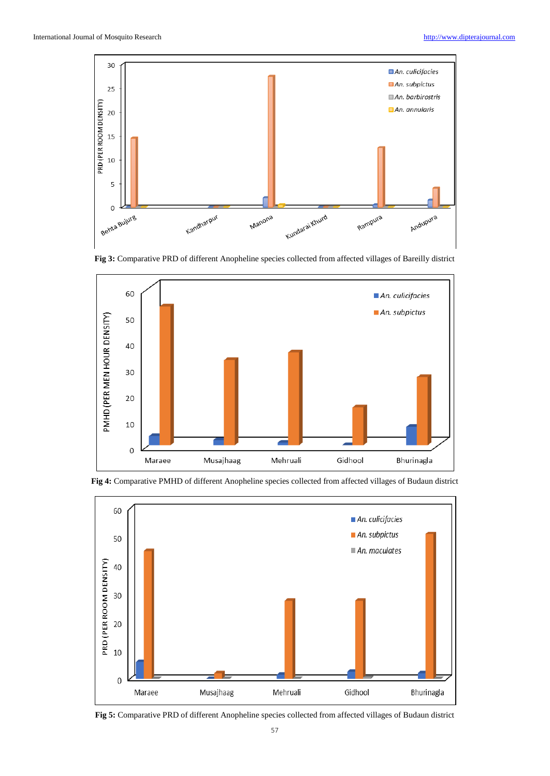







**Fig 4:** Comparative PMHD of different Anopheline species collected from affected villages of Budaun district

**Fig 5:** Comparative PRD of different Anopheline species collected from affected villages of Budaun district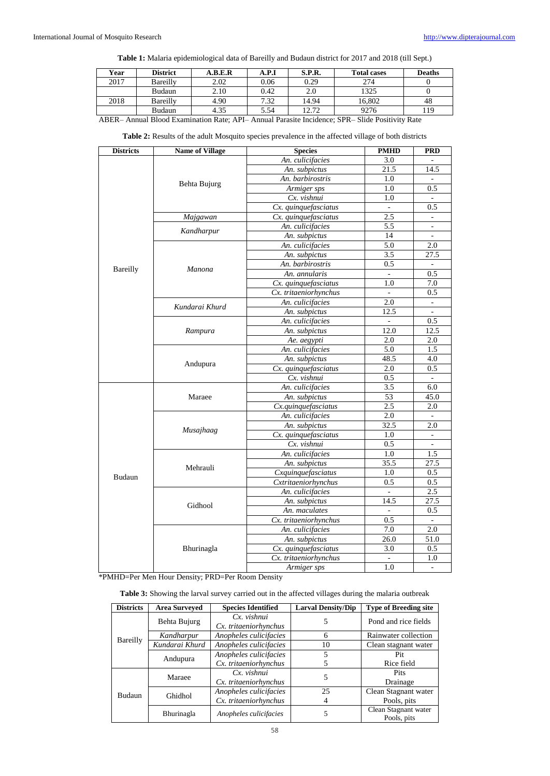**Table 1:** Malaria epidemiological data of Bareilly and Budaun district for 2017 and 2018 (till Sept.)

| Year | <b>District</b> | A.B.E.R | A.P.I | S.P.R. | <b>Total cases</b> | <b>Deaths</b> |
|------|-----------------|---------|-------|--------|--------------------|---------------|
| 2017 | Bareilly        | 2.02    | 0.06  | 0.29   | 274                |               |
|      | Budaun          | 2.10    | 0.42  | 2.0    | 1325               |               |
| 2018 | Bareilly        | 4.90    | 7.32  | 14.94  | 16.802             | 48            |
|      | Budaun          | 4.35    | 5.54  | 12.72  | 9276               | 119           |

ABER– Annual Blood Examination Rate; API– Annual Parasite Incidence; SPR– Slide Positivity Rate

| <b>Districts</b> | <b>Name of Village</b>           | <b>Species</b>        | <b>PMHD</b> | <b>PRD</b>               |
|------------------|----------------------------------|-----------------------|-------------|--------------------------|
|                  |                                  | An. culicifacies      | 3.0         |                          |
|                  |                                  | An. subpictus         | 21.5        | 14.5                     |
|                  |                                  | An. barbirostris      | 1.0         |                          |
|                  | Behta Bujurg                     | Armiger sps           | 1.0         | 0.5                      |
|                  |                                  | Cx. vishnui           | 1.0         | $\overline{a}$           |
|                  |                                  | Cx. quinquefasciatus  |             | 0.5                      |
|                  | Majgawan<br>Cx. quinquefasciatus |                       | 2.5         |                          |
|                  |                                  | An. culicifacies      | 5.5         | $\mathcal{L}$            |
|                  | Kandharpur                       | An. subpictus         | 14          |                          |
|                  |                                  | An. culicifacies      | 5.0         | 2.0                      |
|                  |                                  | An. subpictus         | 3.5         | 27.5                     |
|                  |                                  | An. barbirostris      | 0.5         |                          |
| <b>Bareilly</b>  | <b>Manona</b>                    | An. annularis         |             | 0.5                      |
|                  |                                  | Cx. quinquefasciatus  | 1.0         | 7.0                      |
|                  |                                  | Cx. tritaeniorhynchus |             | 0.5                      |
|                  | Kundarai Khurd                   | An. culicifacies      | 2.0         |                          |
|                  |                                  | An. subpictus         | 12.5        | $\overline{\phantom{a}}$ |
|                  |                                  | An. culicifacies      |             | 0.5                      |
|                  | Rampura                          | An. subpictus         | 12.0        | 12.5                     |
|                  |                                  | Ae. aegypti           | 2.0         | 2.0                      |
|                  |                                  | An. culicifacies      | 5.0         | 1.5                      |
|                  |                                  | An. subpictus         | 48.5        | 4.0                      |
|                  | Andupura                         | Cx. quinquefasciatus  | 2.0         | 0.5                      |
|                  |                                  | Cx. vishnui           | 0.5         | $\mathbf{r}$             |
|                  |                                  | An. culicifacies      | 3.5         | 6.0                      |
|                  | Maraee                           | An. subpictus         | 53          | 45.0                     |
|                  |                                  | Cx.quinquefasciatus   | 2.5         | 2.0                      |
|                  |                                  | An. culicifacies      | 2.0         |                          |
|                  |                                  | An. subpictus         | 32.5        | 2.0                      |
|                  | Musajhaag                        | Cx. quinquefasciatus  | 1.0         | $\overline{\phantom{a}}$ |
|                  |                                  | Cx. vishnui           | 0.5         | $\equiv$                 |
|                  |                                  | An. culicifacies      | 1.0         | 1.5                      |
|                  | Mehrauli                         | An. subpictus         | 35.5        | 27.5                     |
| <b>Budaun</b>    |                                  | Cxquinquefasciatus    | 1.0         | 0.5                      |
|                  |                                  | Cxtritaeniorhynchus   | 0.5         | 0.5                      |
|                  |                                  | An. culicifacies      |             | 2.5                      |
|                  | Gidhool                          | An. subpictus         | 14.5        | 27.5                     |
|                  |                                  | An. maculates         | ÷.          | 0.5                      |
|                  |                                  | Cx. tritaeniorhynchus | 0.5         |                          |
|                  |                                  | An. culicifacies      | 7.0         | 2.0                      |
|                  |                                  | An. subpictus         | 26.0        | 51.0                     |
|                  | Bhurinagla                       | Cx. quinquefasciatus  | 3.0         | 0.5                      |
|                  |                                  | Cx. tritaeniorhynchus | $\omega$    | 1.0                      |
|                  |                                  | Armiger sps           | 1.0         | $\sim$                   |

**Table 2:** Results of the adult Mosquito species prevalence in the affected village of both districts

\*PMHD=Per Men Hour Density; PRD=Per Room Density

**Table 3:** Showing the larval survey carried out in the affected villages during the malaria outbreak

| <b>Districts</b> | <b>Area Surveyed</b> | <b>Species Identified</b>            | <b>Larval Density/Dip</b> | <b>Type of Breeding site</b> |
|------------------|----------------------|--------------------------------------|---------------------------|------------------------------|
| Bareilly         | Behta Bujurg         | Cx. vishnui<br>Cx. tritaeniorhynchus |                           | Pond and rice fields         |
|                  | Kandharpur           | Anopheles culicifacies               | 6                         | Rainwater collection         |
|                  | Kundarai Khurd       | Anopheles culicifacies               | 10                        | Clean stagnant water         |
|                  | Andupura             | Anopheles culicifacies               | 5                         | Pit                          |
|                  |                      | Cx. tritaeniorhynchus                |                           | Rice field                   |
| <b>Budaun</b>    | Maraee               | Cx. vishnui                          | 5                         | <b>Pits</b>                  |
|                  |                      | Cx. tritaeniorhynchus                |                           | Drainage                     |
|                  | Ghidhol              | Anopheles culicifacies               | 25                        | Clean Stagnant water         |
|                  |                      | Cx. tritaeniorhynchus                | 4                         | Pools, pits                  |
|                  | Bhurinagla           | Anopheles culicifacies               | 5                         | Clean Stagnant water         |
|                  |                      |                                      |                           | Pools, pits                  |